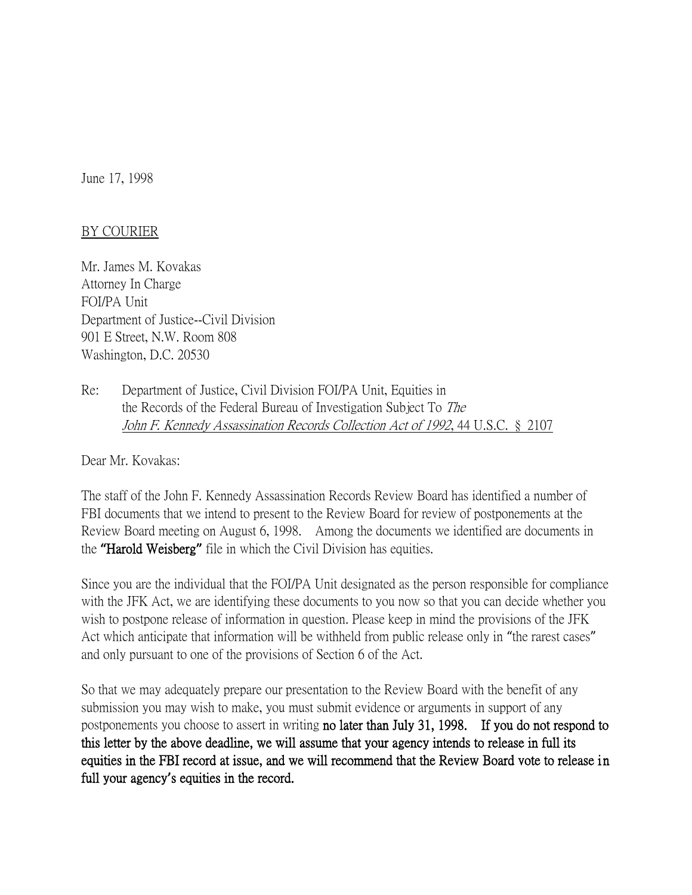June 17, 1998

## BY COURIER

Mr. James M. Kovakas Attorney In Charge FOI/PA Unit Department of Justice--Civil Division 901 E Street, N.W. Room 808 Washington, D.C. 20530

Re: Department of Justice, Civil Division FOI/PA Unit, Equities in the Records of the Federal Bureau of Investigation Subject To The John F. Kennedy Assassination Records Collection Act of 1992, 44 U.S.C. § 2107

Dear Mr. Kovakas:

The staff of the John F. Kennedy Assassination Records Review Board has identified a number of FBI documents that we intend to present to the Review Board for review of postponements at the Review Board meeting on August 6, 1998. Among the documents we identified are documents in the **"**Harold Weisberg**"** file in which the Civil Division has equities.

Since you are the individual that the FOI/PA Unit designated as the person responsible for compliance with the JFK Act, we are identifying these documents to you now so that you can decide whether you wish to postpone release of information in question. Please keep in mind the provisions of the JFK Act which anticipate that information will be withheld from public release only in "the rarest cases" and only pursuant to one of the provisions of Section 6 of the Act.

So that we may adequately prepare our presentation to the Review Board with the benefit of any submission you may wish to make, you must submit evidence or arguments in support of any postponements you choose to assert in writing no later than July 31, 1998. If you do not respond to this letter by the above deadline, we will assume that your agency intends to release in full its equities in the FBI record at issue, and we will recommend that the Review Board vote to release in full your agency**'**s equities in the record.